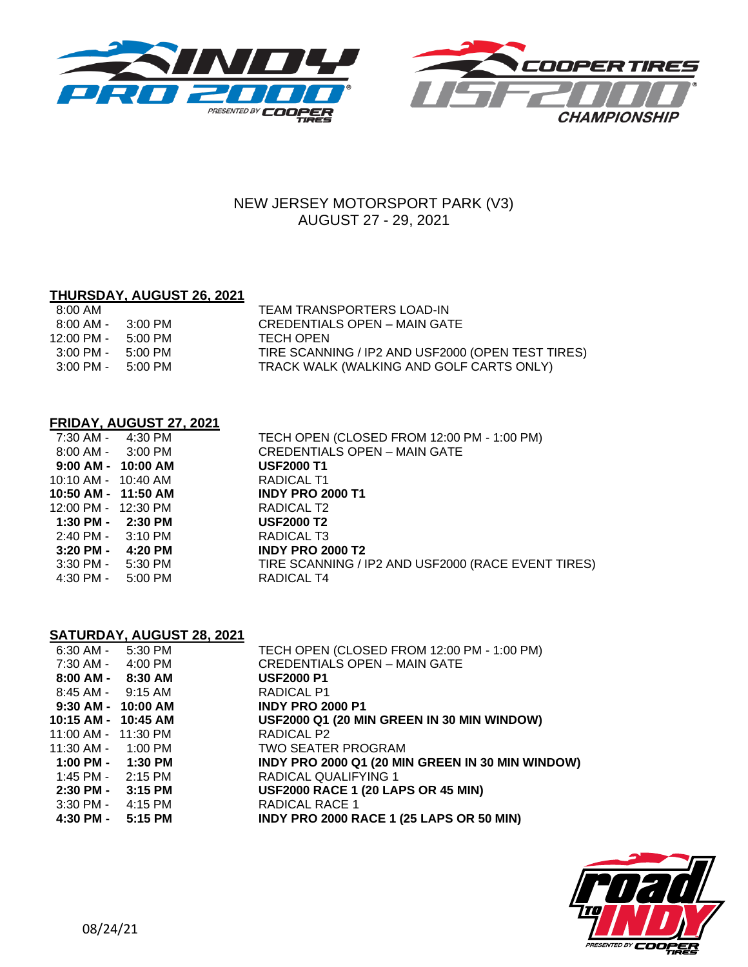



# NEW JERSEY MOTORSPORT PARK (V3) AUGUST 27 - 29, 2021

# **THURSDAY, AUGUST 26, 2021**

| 8:00 AM                             |         | TEAM TRANSPORTERS LOAD-IN                         |
|-------------------------------------|---------|---------------------------------------------------|
| 8:00 AM -                           | 3:00 PM | CREDENTIALS OPEN – MAIN GATE                      |
| 12:00 PM -                          | 5:00 PM | TECH OPEN                                         |
| $3:00 \text{ PM} - 5:00 \text{ PM}$ |         | TIRE SCANNING / IP2 AND USF2000 (OPEN TEST TIRES) |
| $3:00 \text{ PM} - 5:00 \text{ PM}$ |         | TRACK WALK (WALKING AND GOLF CARTS ONLY)          |

### **FRIDAY, AUGUST 27, 2021**

|                         | 7:30 AM - 4:30 PM      | TECH OPEN (CLOSED FROM 12:00 PM - 1:00 PM)         |
|-------------------------|------------------------|----------------------------------------------------|
|                         | $8:00$ AM - $3:00$ PM  | <b>CREDENTIALS OPEN - MAIN GATE</b>                |
|                         | $9:00$ AM - $10:00$ AM | <b>USF2000 T1</b>                                  |
| $10:10$ AM - $10:40$ AM |                        | RADICAL T1                                         |
| 10:50 AM - 11:50 AM     |                        | <b>INDY PRO 2000 T1</b>                            |
| 12:00 PM - 12:30 PM     |                        | RADICAL T2                                         |
|                         | $1:30$ PM - $2:30$ PM  | <b>USF2000 T2</b>                                  |
|                         | 2:40 PM - 3:10 PM      | RADICAL T3                                         |
|                         | 3:20 PM - 4:20 PM      | <b>INDY PRO 2000 T2</b>                            |
|                         | $3:30$ PM - $5:30$ PM  | TIRE SCANNING / IP2 AND USF2000 (RACE EVENT TIRES) |
| 4:30 PM -               | 5:00 PM                | RADICAL T4                                         |
|                         |                        |                                                    |

# **SATURDAY, AUGUST 28, 2021**

| 6:30 AM - 5:30 PM      | TECH OPEN (CLOSED FROM 12:00 PM - 1:00 PM)       |
|------------------------|--------------------------------------------------|
| 7:30 AM - 4:00 PM      | <b>CREDENTIALS OPEN - MAIN GATE</b>              |
| $8:00$ AM - $8:30$ AM  | <b>USF2000 P1</b>                                |
| 8:45 AM - 9:15 AM      | RADICAL P1                                       |
| 9:30 AM - 10:00 AM     | <b>INDY PRO 2000 P1</b>                          |
| 10:15 AM - 10:45 AM    | USF2000 Q1 (20 MIN GREEN IN 30 MIN WINDOW)       |
| 11:00 AM - 11:30 PM    | RADICAL P2                                       |
| $11:30$ AM - $1:00$ PM | TWO SEATER PROGRAM                               |
| 1:00 PM - 1:30 PM      | INDY PRO 2000 Q1 (20 MIN GREEN IN 30 MIN WINDOW) |
| 1:45 PM - 2:15 PM      | <b>RADICAL QUALIFYING 1</b>                      |
| 2:30 PM - 3:15 PM      | <b>USF2000 RACE 1 (20 LAPS OR 45 MIN)</b>        |
| $3:30$ PM - $4:15$ PM  | RADICAL RACE 1                                   |
| 4:30 PM - 5:15 PM      | <b>INDY PRO 2000 RACE 1 (25 LAPS OR 50 MIN)</b>  |
|                        |                                                  |